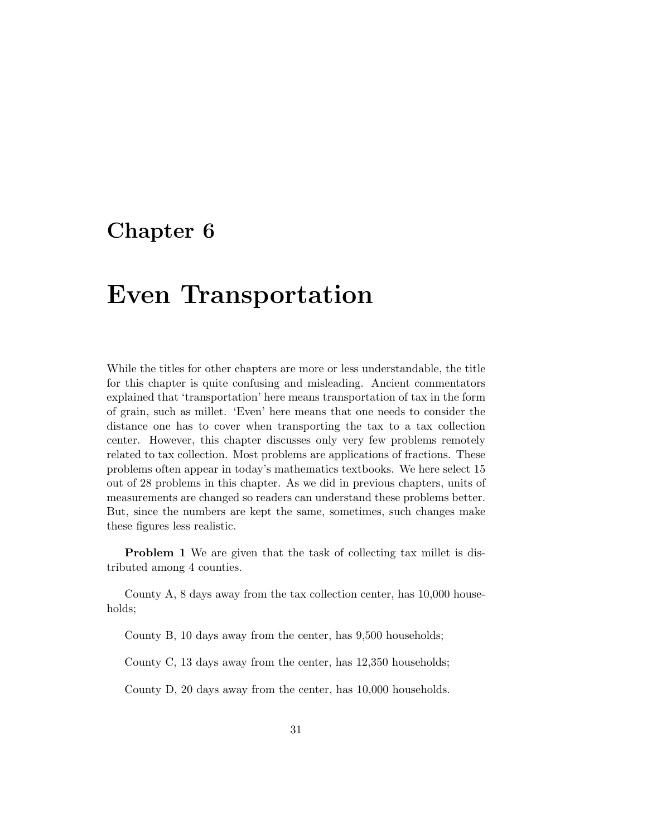## **Chapter 6**

## **Even Transportation**

While the titles for other chapters are more or less understandable, the title for this chapter is quite confusing and misleading. Ancient commentators explained that 'transportation' here means transportation of tax in the form of grain, such as millet. 'Even' here means that one needs to consider the distance one has to cover when transporting the tax to a tax collection center. However, this chapter discusses only very few problems remotely related to tax collection. Most problems are applications of fractions. These problems often appear in today's mathematics textbooks. We here select 15 out of 28 problems in this chapter. As we did in previous chapters, units of measurements are changed so readers can understand these problems better. But, since the numbers are kept the same, sometimes, such changes make these figures less realistic.

**Problem 1** We are given that the task of collecting tax millet is distributed among 4 counties.

County A, 8 days away from the tax collection center, has 10,000 households;

County B, 10 days away from the center, has 9,500 households;

County C, 13 days away from the center, has 12,350 households;

County D, 20 days away from the center, has 10,000 households.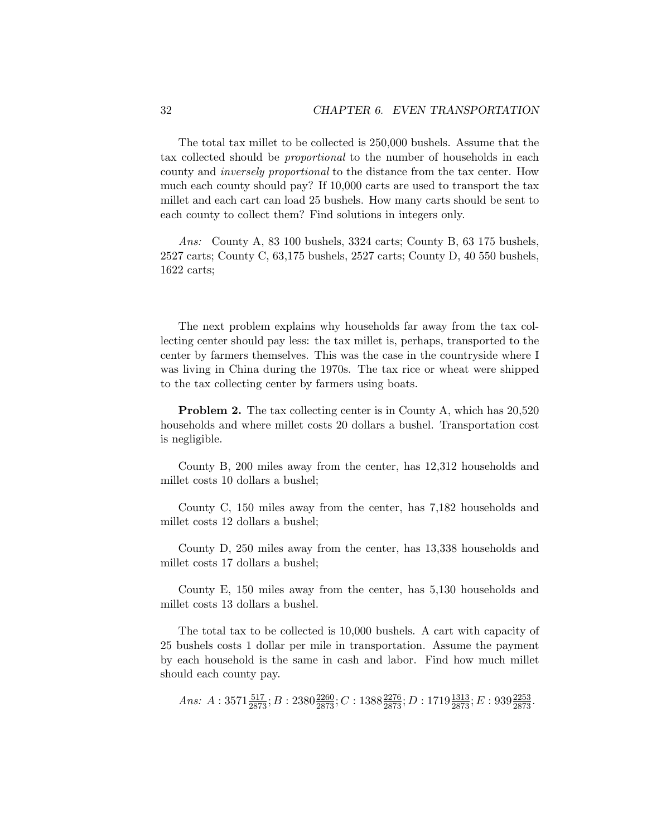The total tax millet to be collected is 250,000 bushels. Assume that the tax collected should be proportional to the number of households in each county and inversely proportional to the distance from the tax center. How much each county should pay? If 10,000 carts are used to transport the tax millet and each cart can load 25 bushels. How many carts should be sent to each county to collect them? Find solutions in integers only.

Ans: County A, 83 100 bushels, 3324 carts; County B, 63 175 bushels, 2527 carts; County C, 63,175 bushels, 2527 carts; County D, 40 550 bushels, 1622 carts;

The next problem explains why households far away from the tax collecting center should pay less: the tax millet is, perhaps, transported to the center by farmers themselves. This was the case in the countryside where I was living in China during the 1970s. The tax rice or wheat were shipped to the tax collecting center by farmers using boats.

**Problem 2.** The tax collecting center is in County A, which has  $20,520$ households and where millet costs 20 dollars a bushel. Transportation cost is negligible.

County B, 200 miles away from the center, has 12,312 households and millet costs 10 dollars a bushel;

County C, 150 miles away from the center, has 7,182 households and millet costs 12 dollars a bushel;

County D, 250 miles away from the center, has 13,338 households and millet costs 17 dollars a bushel;

County E, 150 miles away from the center, has 5,130 households and millet costs 13 dollars a bushel.

The total tax to be collected is 10,000 bushels. A cart with capacity of 25 bushels costs 1 dollar per mile in transportation. Assume the payment by each household is the same in cash and labor. Find how much millet should each county pay.

*Ans:*  $A: 3571\frac{517}{2873}$ ;  $B: 2380\frac{2260}{2873}$ ;  $C: 1388\frac{2276}{2873}$ ;  $D: 1719\frac{1313}{2873}$ ;  $E: 939\frac{2253}{2873}$ .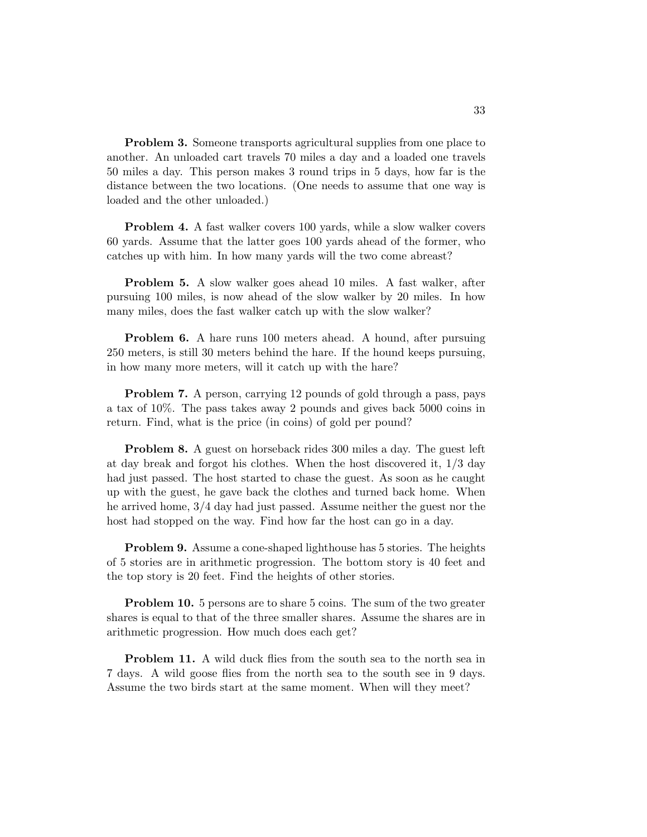**Problem 3.** Someone transports agricultural supplies from one place to another. An unloaded cart travels 70 miles a day and a loaded one travels 50 miles a day. This person makes 3 round trips in 5 days, how far is the distance between the two locations. (One needs to assume that one way is loaded and the other unloaded.)

**Problem 4.** A fast walker covers 100 yards, while a slow walker covers 60 yards. Assume that the latter goes 100 yards ahead of the former, who catches up with him. In how many yards will the two come abreast?

**Problem 5.** A slow walker goes ahead 10 miles. A fast walker, after pursuing 100 miles, is now ahead of the slow walker by 20 miles. In how many miles, does the fast walker catch up with the slow walker?

**Problem 6.** A hare runs 100 meters ahead. A hound, after pursuing 250 meters, is still 30 meters behind the hare. If the hound keeps pursuing, in how many more meters, will it catch up with the hare?

**Problem 7.** A person, carrying 12 pounds of gold through a pass, pays a tax of 10%. The pass takes away 2 pounds and gives back 5000 coins in return. Find, what is the price (in coins) of gold per pound?

**Problem 8.** A guest on horseback rides 300 miles a day. The guest left at day break and forgot his clothes. When the host discovered it, 1/3 day had just passed. The host started to chase the guest. As soon as he caught up with the guest, he gave back the clothes and turned back home. When he arrived home, 3/4 day had just passed. Assume neither the guest nor the host had stopped on the way. Find how far the host can go in a day.

**Problem 9.** Assume a cone-shaped lighthouse has 5 stories. The heights of 5 stories are in arithmetic progression. The bottom story is 40 feet and the top story is 20 feet. Find the heights of other stories.

**Problem 10.** 5 persons are to share 5 coins. The sum of the two greater shares is equal to that of the three smaller shares. Assume the shares are in arithmetic progression. How much does each get?

**Problem 11.** A wild duck flies from the south sea to the north sea in 7 days. A wild goose flies from the north sea to the south see in 9 days. Assume the two birds start at the same moment. When will they meet?